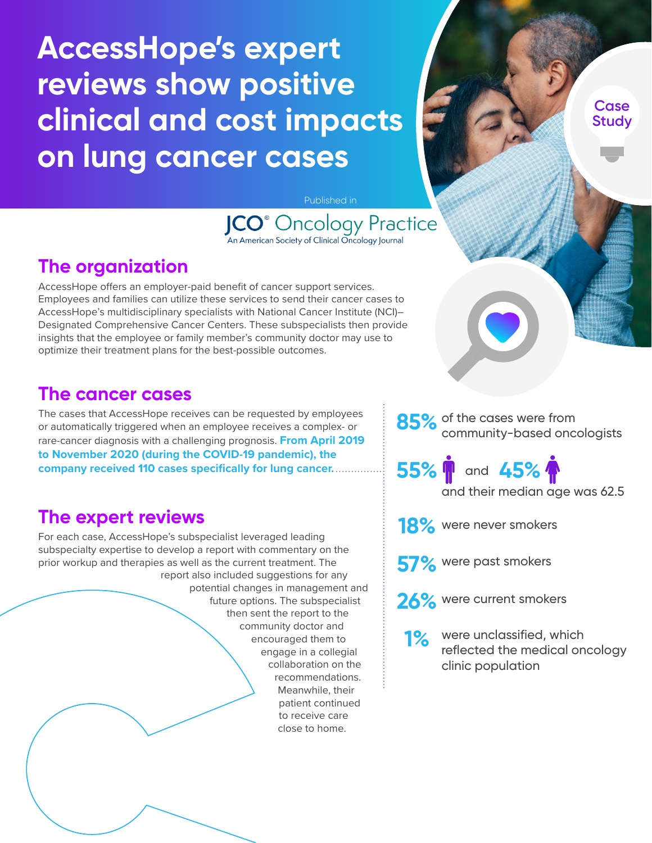# **AccessHope's expert reviews show positive clinical and cost impacts on lung cancer cases**

**Case Study**

Published in

**JCO**<sup>®</sup> Oncology Practice An American Society of Clinical Oncology Journal

## **The organization**

AccessHope offers an employer-paid benefit of cancer support services. Employees and families can utilize these services to send their cancer cases to AccessHope's multidisciplinary specialists with National Cancer Institute (NCI)– Designated Comprehensive Cancer Centers. These subspecialists then provide insights that the employee or family member's community doctor may use to optimize their treatment plans for the best-possible outcomes.

#### **The cancer cases**

The cases that AccessHope receives can be requested by employees or automatically triggered when an employee receives a complex- or rare-cancer diagnosis with a challenging prognosis. **From April 2019 to November 2020 (during the COVID-19 pandemic), the company received 110 cases specifically for lung cancer.**

#### **The expert reviews**

For each case, AccessHope's subspecialist leveraged leading subspecialty expertise to develop a report with commentary on the prior workup and therapies as well as the current treatment. The report also included suggestions for any potential changes in management and future options. The subspecialist then sent the report to the

community doctor and encouraged them to engage in a collegial collaboration on the recommendations. Meanwhile, their patient continued to receive care close to home.

85% of the cases were from community-based oncologists

**55% 1** and 45% and their median age was 62.5

18% were never smokers

**57%** were past smokers



**26%** were current smokers

**1%** were unclassified, which reflected the medical oncology clinic population